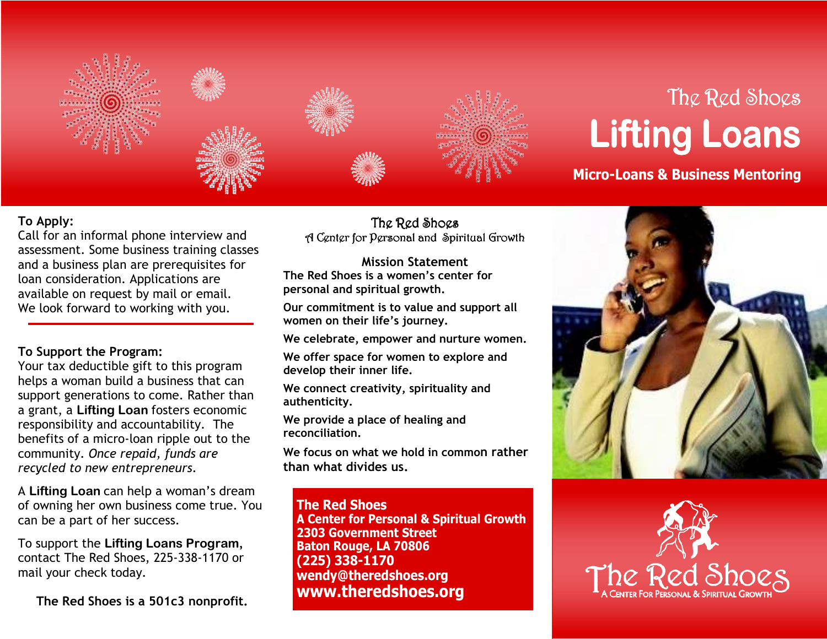

## The Red Shoes **Lifting Loans**

 **Micro-Loans & Business Mentoring**

## **To Apply:**

 Call for an informal phone interview and assessment. Some business training classes and a business plan are prerequisites for loan consideration. Applications are available on request by mail or email. We look forward to working with you.

## **To Support the Program:**

 Your tax deductible gift to this program helps a woman build a business that can support generations to come. Rather than a grant, a **Lifting Loan** fosters economic responsibility and accountability. The benefits of a micro-loan ripple out to the community. *Once repaid, funds are recycled to new entrepreneurs*.

A **Lifting Loan** can help a woman's dream of owning her own business come true. You can be a part of her success.

To support the **Lifting Loans Program,**  contact The Red Shoes, 225-338-1170 or mail your check today.

**The Red Shoes is a 501c3 nonprofit.** 

The Red Shoes A Center for Personal and Spiritual Growth

**Mission Statement The Red Shoes is a women's center for personal and spiritual growth.** 

**Our commitment is to value and support all women on their life's journey.** 

**We celebrate, empower and nurture women.** 

**We offer space for women to explore and develop their inner life.** 

**We connect creativity, spirituality and authenticity.** 

**We provide a place of healing and reconciliation.** 

**We focus on what we hold in common rather than what divides us.** 

**The Red Shoes A Center for Personal & Spiritual Growth 2303 Government Street Baton Rouge, LA 70806 (225) 338-1170 wendy@theredshoes.org www.theredshoes.org**